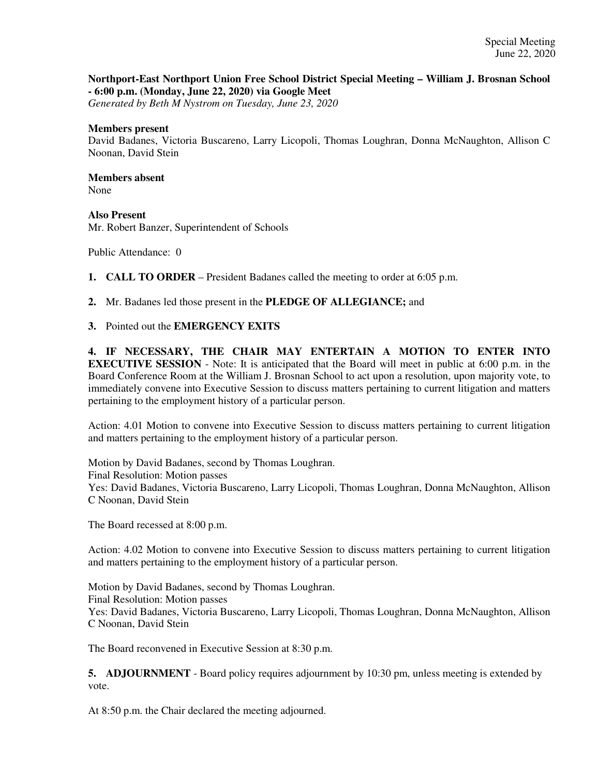## **Northport-East Northport Union Free School District Special Meeting – William J. Brosnan School - 6:00 p.m. (Monday, June 22, 2020) via Google Meet**

*Generated by Beth M Nystrom on Tuesday, June 23, 2020*

## **Members present**

David Badanes, Victoria Buscareno, Larry Licopoli, Thomas Loughran, Donna McNaughton, Allison C Noonan, David Stein

## **Members absent**  None

**Also Present**  Mr. Robert Banzer, Superintendent of Schools

Public Attendance: 0

**1. CALL TO ORDER** – President Badanes called the meeting to order at 6:05 p.m.

**2.** Mr. Badanes led those present in the **PLEDGE OF ALLEGIANCE;** and

**3.** Pointed out the **EMERGENCY EXITS**

**4. IF NECESSARY, THE CHAIR MAY ENTERTAIN A MOTION TO ENTER INTO EXECUTIVE SESSION** - Note: It is anticipated that the Board will meet in public at 6:00 p.m. in the Board Conference Room at the William J. Brosnan School to act upon a resolution, upon majority vote, to immediately convene into Executive Session to discuss matters pertaining to current litigation and matters pertaining to the employment history of a particular person.

Action: 4.01 Motion to convene into Executive Session to discuss matters pertaining to current litigation and matters pertaining to the employment history of a particular person.

Motion by David Badanes, second by Thomas Loughran. Final Resolution: Motion passes Yes: David Badanes, Victoria Buscareno, Larry Licopoli, Thomas Loughran, Donna McNaughton, Allison C Noonan, David Stein

The Board recessed at 8:00 p.m.

Action: 4.02 Motion to convene into Executive Session to discuss matters pertaining to current litigation and matters pertaining to the employment history of a particular person.

Motion by David Badanes, second by Thomas Loughran. Final Resolution: Motion passes Yes: David Badanes, Victoria Buscareno, Larry Licopoli, Thomas Loughran, Donna McNaughton, Allison C Noonan, David Stein

The Board reconvened in Executive Session at 8:30 p.m.

**5. ADJOURNMENT** - Board policy requires adjournment by 10:30 pm, unless meeting is extended by vote.

At 8:50 p.m. the Chair declared the meeting adjourned.